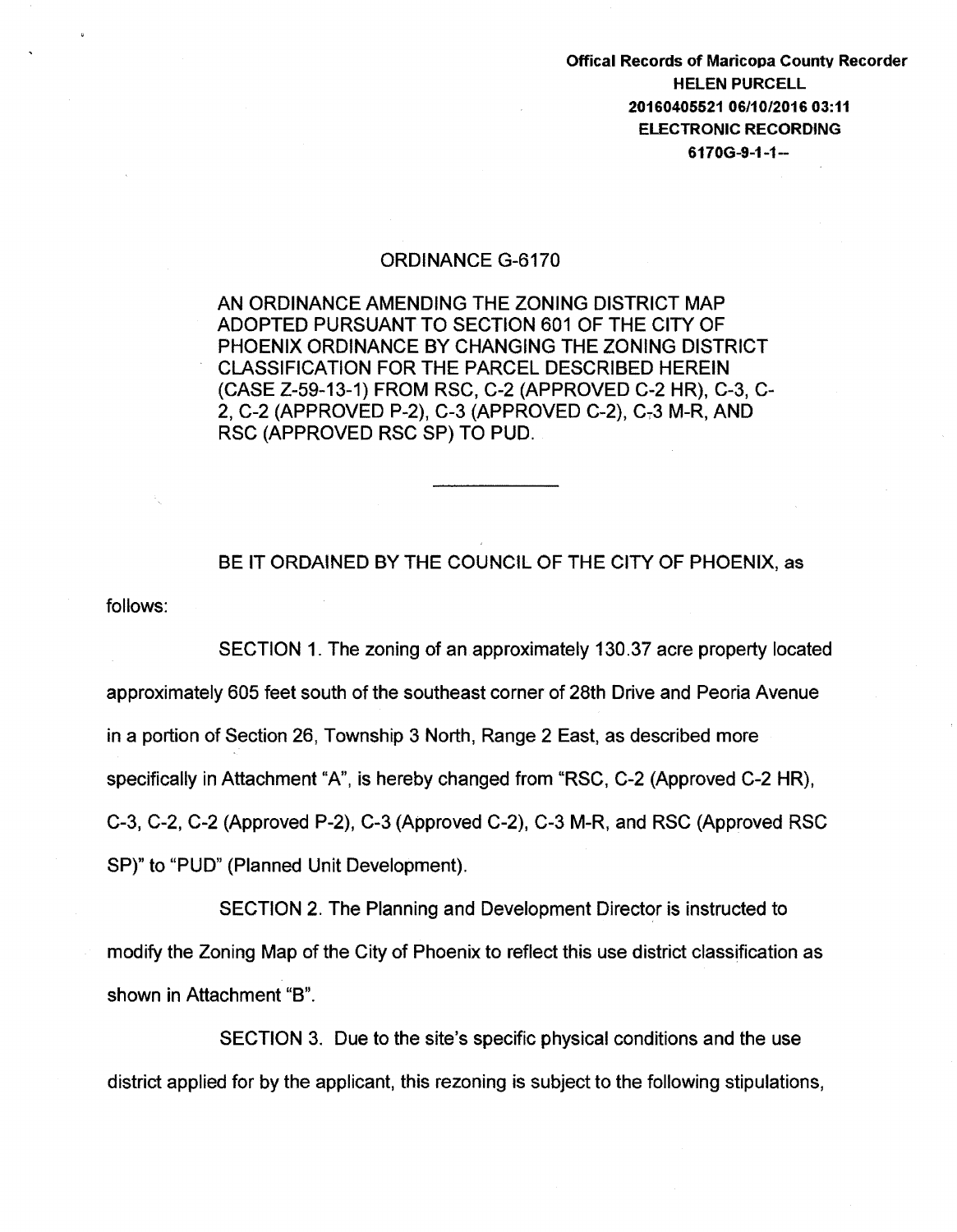Offical Records of Maricopa County Recorder HELEN PURCELL 20160405521 06/10/2016 03:11 ELECTRONIC RECORDING 6170G-9-1-1-

## ORDINANCE G-6170

AN ORDINANCE AMENDING THE ZONING DISTRICT MAP ADOPTED PURSUANT TO SECTION 601 OF THE CITY OF PHOENIX ORDINANCE BY CHANGING THE ZONING DISTRICT CLASSIFICATION FOR THE PARCEL DESCRIBED HEREIN (CASE Z-59-13-1) FROM RSC, C-2 (APPROVED C-2 HR), C-3, C-2, C-2 (APPROVED P-2), C-3 (APPROVED C-2), C,3 M-R, AND RSC (APPROVED RSC SP) TO PUD.

follows: BE IT ORDAINED BY THE COUNCIL OF THE CITY OF PHOENIX, as

SECTION 1. The zoning of an approximately 130.37 acre property located approximately 605 feet south of the southeast corner of 28th Drive and Peoria Avenue in a portion of Section 26, Township 3 North, Range 2 East, as described more specifically in Attachment "A", is hereby changed from "RSC, C-2 (Approved C-2 HR), C-3, C-2, C-2 (Approved P-2), C-3 (Approved C-2), C-3 M-R, and RSC {Approved RSC SP)" to "PUD" (Planned Unit Development).

SECTION 2. The Planning and Development Director is instructed to modify the Zoning Map of the City of Phoenix to reflect this use district classification as shown in Attachment "B".

SECTION 3. Due to the site's specific physical conditions and the use district applied for by the applicant, this rezoning is subject to the following stipulations,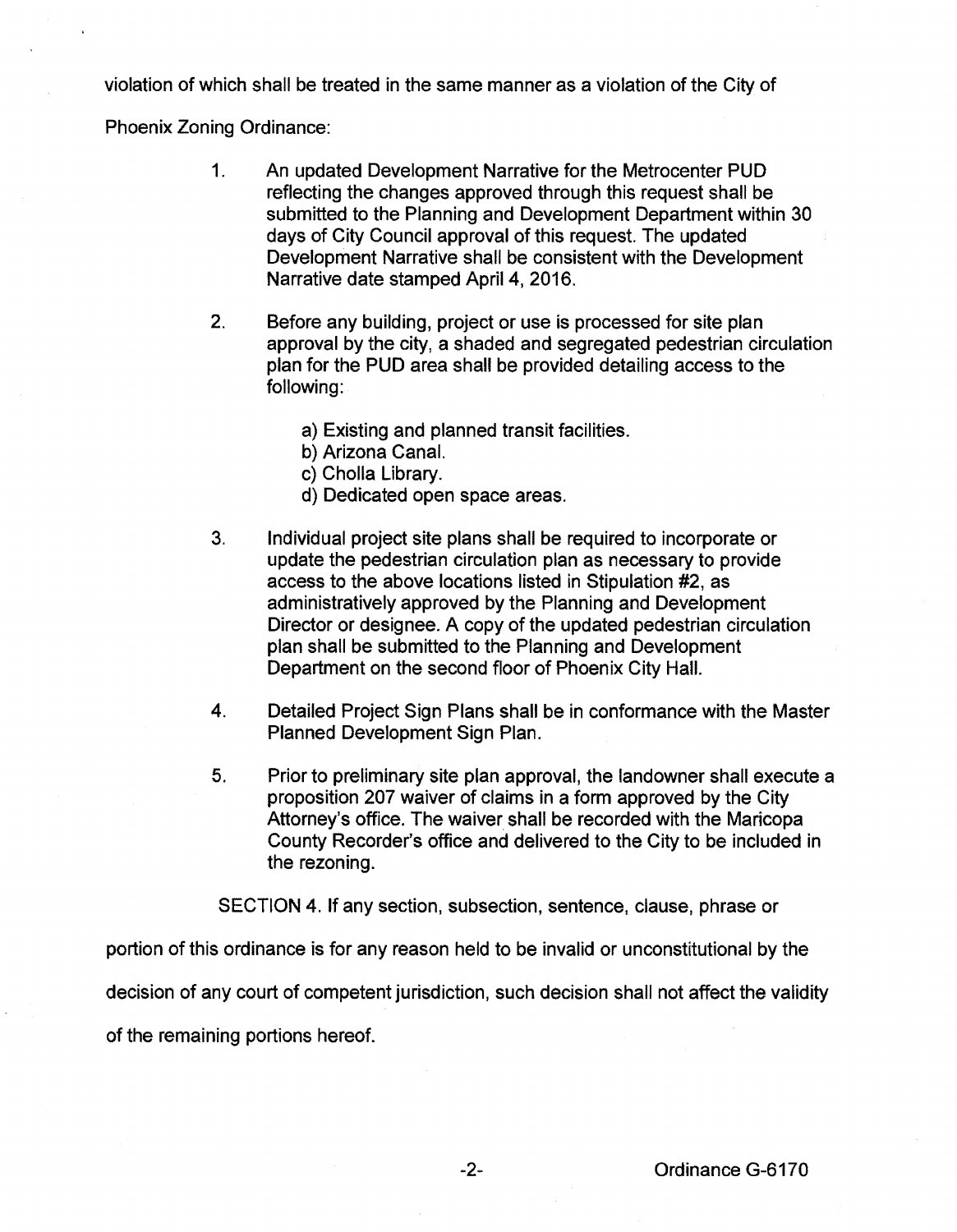violation of which shall be treated in the same manner as a violation of the City of

Phoenix Zoning Ordinance:

- 1. An updated Development Narrative for the Metrocenter PUD reflecting the changes approved through this request shall be submitted to the Planning and Development Department within 30 days of City Council approval of this request. The updated Development Narrative shall be consistent with the Development Narrative date stamped April 4, 2016.
- 2. Before any building, project or use is processed for site plan approval by the city, a shaded and segregated pedestrian circulation plan for the PUD area shall be provided detailing access to the following:
	- a) Existing and planned transit facilities.
	- b) Arizona Canal.
	- c) Cholla Library.
	- d) Dedicated open space areas.
- 3. Individual project site plans shall be required to incorporate or update the pedestrian circulation plan as necessary to provide access to the above locations listed in Stipulation #2, as administratively approved by the Planning and Development Director or designee. A copy of the updated pedestrian circulation plan shall be submitted to the Planning and Development Department on the second floor of Phoenix City Hall.
- 4. Detailed Project Sign Plans shall be in conformance with the Master Planned Development Sign Plan.
- 5. Prior to preliminary site plan approval, the landowner shall execute a proposition 207 waiver of claims in a form approved by the City Attorney's office. The waiver shall be recorded with the Maricopa County Recorder's office and delivered to the City to be included in the rezoning.

SECTION 4. If any section, subsection, sentence, clause, phrase or

portion of this ordinance is for any reason held to be invalid or unconstitutional by the

decision of any court of competent jurisdiction, such decision shall not affect the validity

of the remaining portions hereof.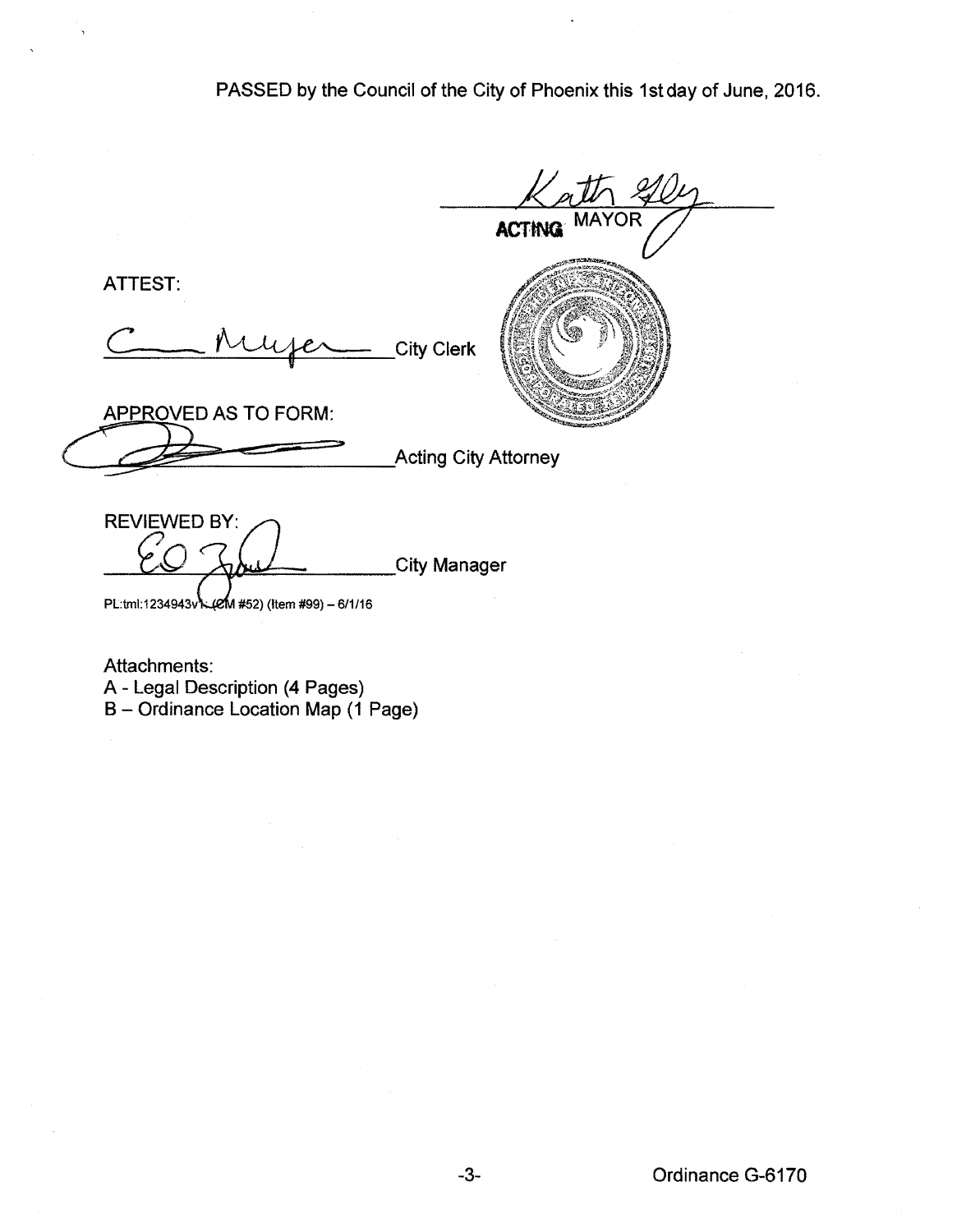PASSED by the Council of the City of Phoenix this 1st day of June, 2016.

**ACTtNQ** MAYOR ATTEST:<br>Chuyer City Clerk 9-:-~. ATTEST: APPROVED AS TO FORM: **Acting City Attorney REVIEWED BY: City Manager** PL:tml:1234943v\:(eM #52) (Item #99) - 6/1/16

Attachments: A- Legal Description (4 Pages) B- Ordinance Location Map (1 Page)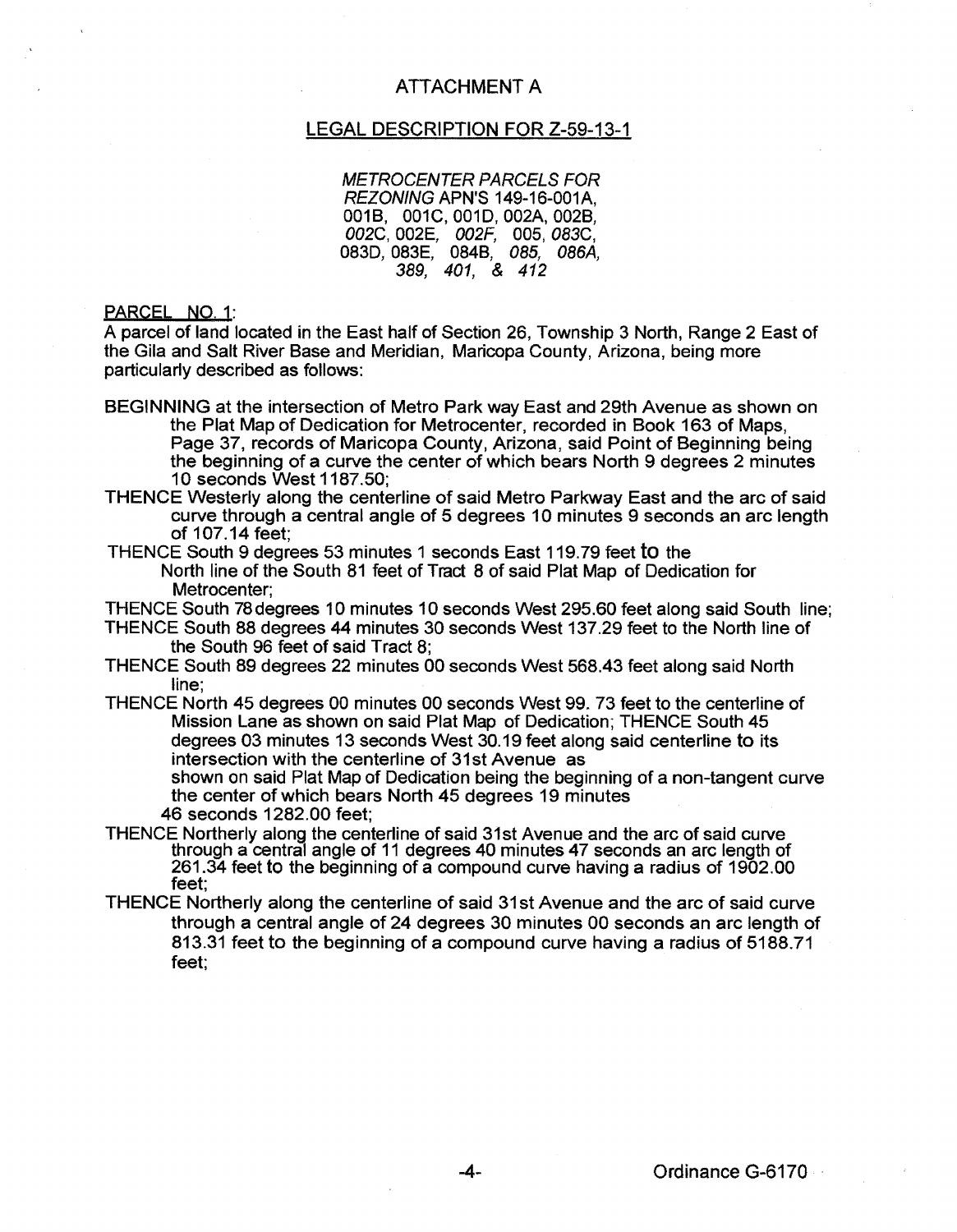## ATTACHMENT A

## LEGAL DESCRIPTION FOR Z-59-13-1

METROCENTER PARCELS FOR REZONING APN'S 149-16-001A, 0018, 001C,001D,002A,0028, *002C,002E, 002G* 005,083C, 083D, 083E, 084B, 085, 086A, 389, 401, & 412

PARCEL NO. 1:

A parcel of land located in the East half of Section 26, Township 3 North, Range 2 East of the Gila and Salt River Base and Meridian, Maricopa County, Arizona, being more particularly described as follows:

- BEGINNING at the intersection of Metro Park way East and 29th Avenue as shown on the Plat Map of Dedication for Metrocenter, recorded in Book 163 of Maps, Page 37, records of Maricopa County, Arizona, said Point of Beginning being the beginning of a curve the center of which bears North 9 degrees 2 minutes 10 seconds West 1187.50;
- THENCE Westerly along the centerline of said Metro Parkway East and the arc of said curve through a central angle of 5 degrees 10 minutes 9 seconds an arc length of 107.14 feet;
- THENCE South 9 degrees 53 minutes 1 seconds East 119.79 feet to the North line of the South 81 feet of Tract 8 of said Plat Map of Dedication for Metrocenter;
- THENCE South 78degrees 10 minutes 10 seconds West 295.60 feet along said South line;
- THENCE South 88 degrees 44 minutes 30 seconds West 137.29 feet to the North line of the South 96 feet of said Tract 8;
- THENCE South 89 degrees 22 minutes 00 seconds West 568.43 feet along said North line;
- THENCE North 45 degrees 00 minutes 00 seconds West 99. 73 feet to the centerline of Mission Lane as shown on said Plat Map of Dedication; THENCE South 45 degrees 03 minutes 13 seconds West 30.19 feet along said centerline to its intersection with the centerline of 31st Avenue as

shown on said Plat Map of Dedication being the beginning of a non-tangent curve the center of which bears North 45 degrees 19 minutes

- 46 seconds 1282.00 feet;
- THENCE Northerly along the centerline of said 31st Avenue and the arc of said curve through a central angle of 11 degrees 40 minutes 47 seconds an arc length of 261.34 feet to the beginning of a compound curve having a radius of 1902.00 feet;
- THENCE Northerly along the centerline of said 31st Avenue and the arc of said curve through a central angle of 24 degrees 30 minutes 00 seconds an arc length of 813.31 feet to the beginning of a compound curve having a radius of 5188.71 feet;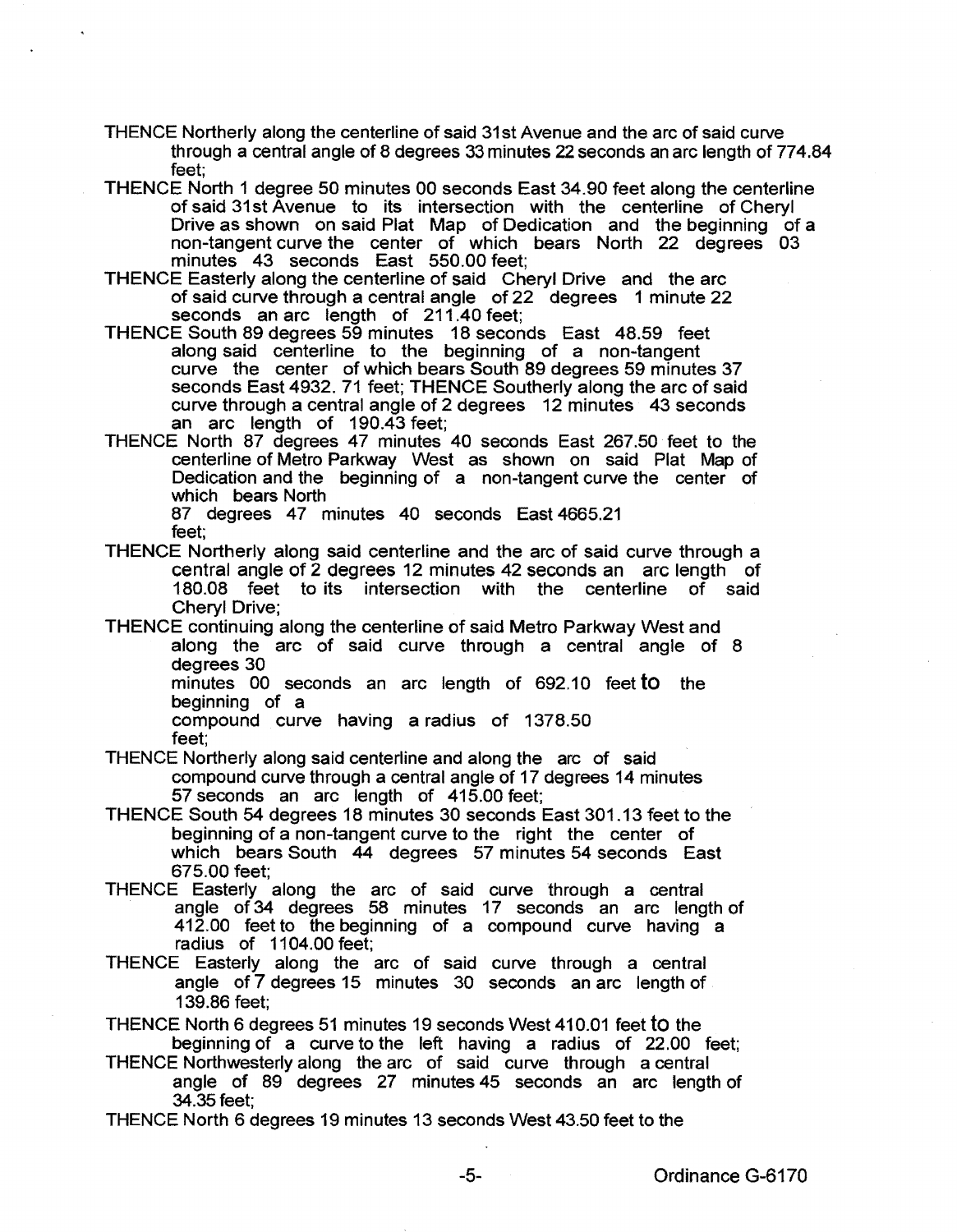- THENCE Northerly along the centerline of said 31st Avenue and the arc of said curve through a central angle of 8 degrees 33 minutes 22 seconds an arc length of 774.84 feet;
- THENCE North 1 degree 50 minutes 00 seconds East 34.90 feet along the centerline of said 31st Avenue to its intersection with the centerline of Cheryl Drive as shown on said Plat Map of Dedication and the beginning of a non-tangent curve the center of which bears North 22 degrees 03 minutes 43 seconds East 550.00 feet;
- THENCE Easterly along the centerline of said Cheryl Drive and the arc of said curve through a central angle of 22 degrees 1 minute 22 seconds an arc length of 211.40 feet;
- THENCE South 89 degrees 59 minutes 18 seconds East 48.59 feet along said centerline to the beginning of a non-tangent curve the center of which bears South 89 degrees 59 minutes 37 seconds East 4932. 71 feet; THENCE Southerly along the arc of said curve through a central angle of 2 degrees 12 minutes 43 seconds an arc length of 190.43 feet;
- THENCE North 87 degrees 47 minutes 40 seconds East 267.50 feet to the centerline of Metro Parkway West as shown on said Plat Map of Dedication and the beginning of a non-tangent curve the center of which bears North

87 degrees 47 minutes 40 seconds East 4665.21 feet;

- THENCE Northerly along said centerline and the arc of said curve through a central angle of 2 degrees 12 minutes 42 seconds an arc length of 180.08 feet to its intersection with the centerline of said Cheryl Drive;
- THENCE continuing along the centerline of said Metro Parkway West and along the arc of said curve through a central angle of 8 degrees 30

minutes 00 seconds an arc length of 692.10 feet to the beginning of a

compound curve having a radius of 1378.50 feet;

- THENCE Northerly along said centerline and along the arc of said compound curve through a central angle of 17 degrees 14 minutes 57 seconds an arc length of 415.00 feet;
- THENCE South 54 degrees 18 minutes 30 seconds East 301.13 feet to the beginning of a non-tangent curve to the right the center of which bears South 44 degrees 57 minutes 54 seconds East 675.00 feet;
- THENCE Easterly along the arc of said curve through a central angle of 34 degrees 58 minutes 17 seconds an arc length of 412.00 feet to the beginning of a compound curve having a radius of 1104.00 feet;
- THENCE Easterly along the arc of said curve through a central angle of 7 degrees 15 minutes 30 seconds an arc length of 139.86 feet;
- THENCE North 6 degrees 51 minutes 19 seconds West 410.01 feet to the beginning of a curve to the left having a radius of 22.00 feet;
- THENCE Northwesterly along the arc of said curve through a central angle of 89 degrees 27 minutes 45 seconds an arc length of 34.35feet;
- THENCE North 6 degrees 19 minutes 13 seconds West 43.50 feet to the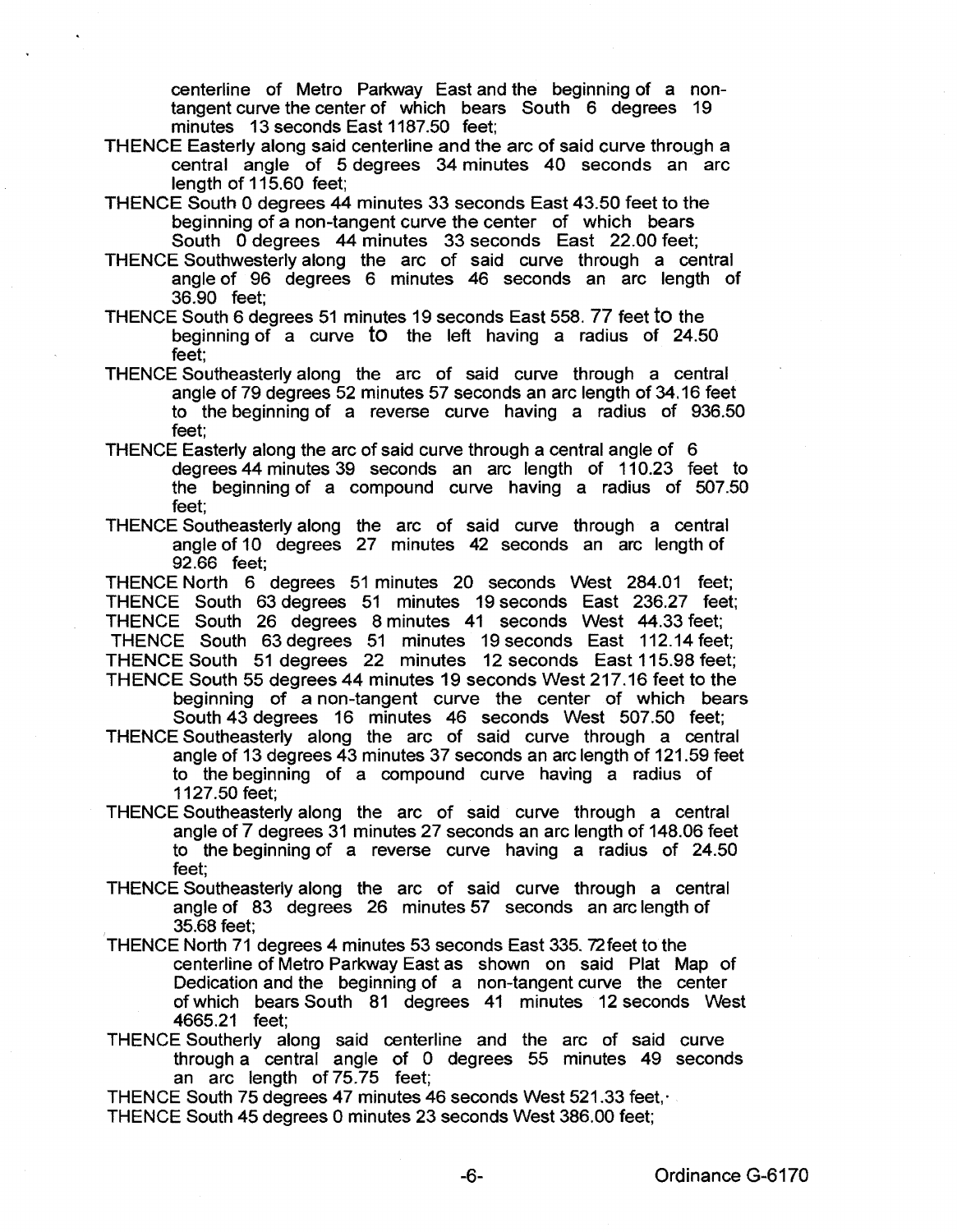centerline of Metro Parkway East and the beginning of a nontangent curve the center of which bears South 6 degrees 19 minutes 13 seconds East 1187.50 feet;

- THENCE Easterly along said centerline and the arc of said curve through a central angle of 5 degrees 34 minutes 40 seconds an arc length of 115.60 feet;
- THENCE South 0 degrees 44 minutes 33 seconds East 43.50 feet to the beginning of a non-tangent curve the center of which bears South 0 degrees 44 minutes 33 seconds East 22.00 feet;
- THENCE Southwesterly along the arc of said curve through a central angle of 96 degrees 6 minutes 46 seconds an arc length of 36.90 feet;
- THENCE South 6 degrees 51 minutes 19 seconds East 558. 77 feet to the beginning of a curve to the left having a radius of 24.50 feet;
- THENCE Southeasterly along the arc of said curve through a central angle of 79 degrees 52 minutes 57 seconds an arc length of 34.16 feet to the beginning of a reverse curve having a radius of 936.50 feet;
- THENCE Easterly along the arc of said curve through a central angle of 6 degrees 44 minutes 39 seconds an arc length of 110.23 feet to the beginning of a compound curve having a radius of 507.50 feet;
- THENCE Southeasterly along the arc of said curve through a central angle of 10 degrees 27 minutes 42 seconds an arc length of 92.66 feet;

THENCE North 6 degrees 51 minutes 20 seconds West 284.01 feet; THENCE South 63 degrees 51 minutes 19 seconds East 236.27 feet; THENCE South 26 degrees 8 minutes 41 seconds West 44.33 feet; THENCE South 63 degrees 51 minutes 19 seconds East 112.14 feet; THENCE South 51 degrees 22 minutes 12 seconds East 115.98 feet; THENCE South 55 degrees 44 minutes 19 seconds West 217.16 feet to the

beginning of a non-tangent curve the center of which bears South 43 degrees 16 minutes 46 seconds West 507.50 feet;

THENCE Southeasterly along the arc of said curve through a central angle of 13 degrees 43 minutes 37 seconds an arc length of 121.59 feet to the beginning of a compound curve having a radius of

- 1127.50 feet;
- THENCE Southeasterly along the arc of said curve through a central angle of 7 degrees 31 minutes 27 seconds an arc length of 148.06 feet to the beginning of a reverse curve having a radius of 24.50 feet;
- THENCE Southeasterly along the arc of said curve through a central angle of 83 degrees 26 minutes 57 seconds an arc length of 35.68 feet;
- THENCE North 71 degrees 4 minutes 53 seconds East 335. 72feet to the centerline of Metro Parkway East as shown on said Plat Map of Dedication and the beginning of a non-tangent curve the center of which bears South 81 degrees 41 minutes 12 seconds West 4665.21 feet;
- THENCE Southerly along said centerline and the arc of said curve through a central angle of 0 degrees 55 minutes 49 seconds an arc length of 75.75 feet;

THENCE South 75 degrees 47 minutes 46 seconds West 521.33 feet,·

THENCE South 45 degrees 0 minutes 23 seconds West 386.00 feet;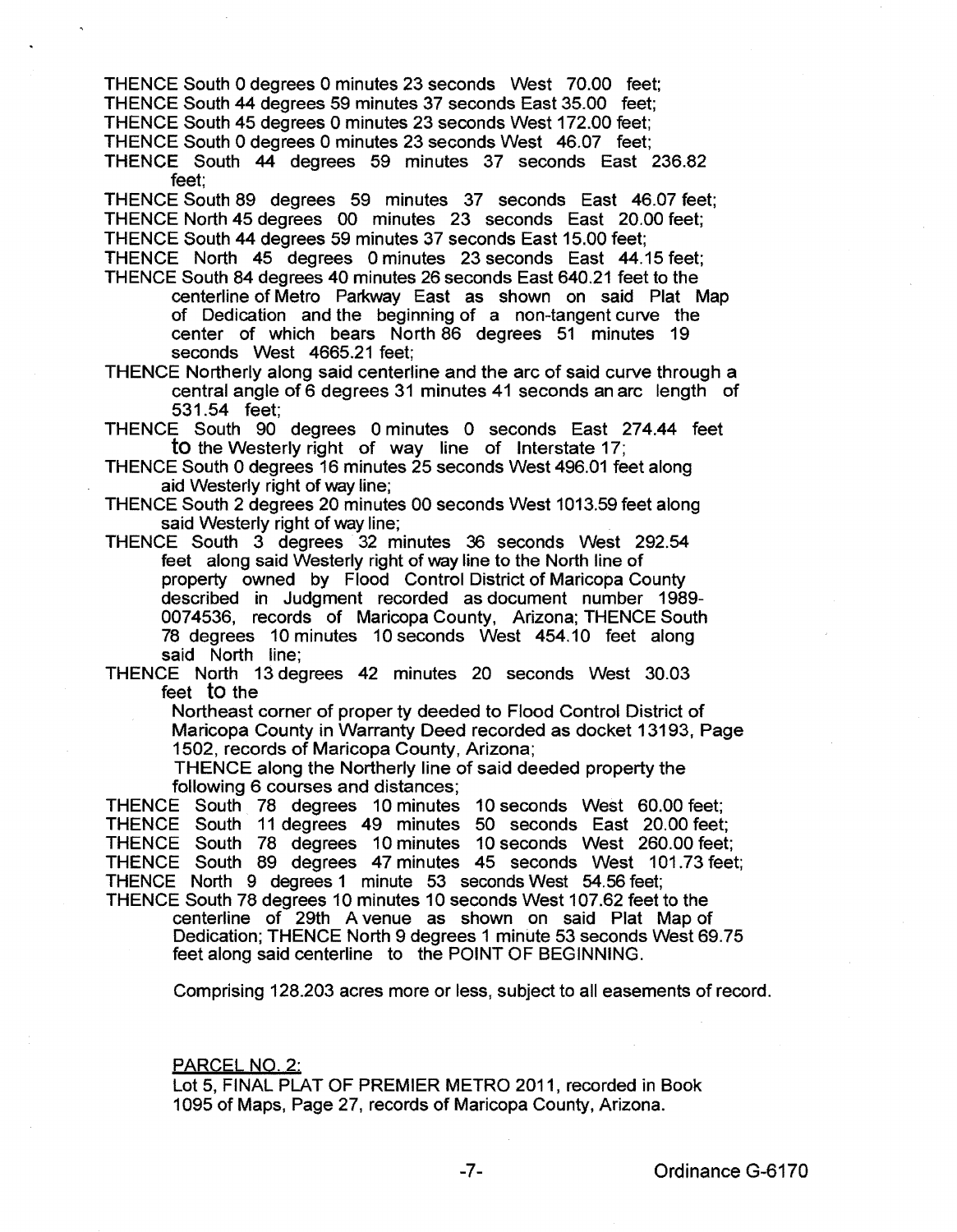THENCE South 0 degrees 0 minutes 23 seconds West 70.00 feet; THENCE South 44 degrees 59 minutes 37 seconds East 35.00 feet; THENCE South 45 degrees 0 minutes 23 seconds West 172.00 feet;

THENCE South 0 degrees 0 minutes 23 seconds West 46.07 feet;

THENCE South 44 degrees 59 minutes 37 seconds East 236.82 feet;

THENCE South 89 degrees 59 minutes 37 seconds East 46.07 feet; THENCE North 45 degrees 00 minutes 23 seconds East 20.00 feet; THENCE South 44 degrees 59 minutes 37 seconds East 15.00 feet;

THENCE North 45 degrees 0 minutes 23 seconds East 44.15 feet; THENCE South 84 degrees 40 minutes 26 seconds East 640.21 feet to the

centerline of Metro Parkway East as shown on said Plat Map of Dedication and the beginning of a non-tangent curve the center of which bears North 86 degrees 51 minutes 19 seconds West 4665.21 feet;

THENCE Northerly along said centerline and the arc of said curve through a central angle of 6 degrees 31 minutes 41 seconds an arc length of 531 . 54 feet;

THENCE South 90 degrees 0 minutes 0 seconds East 274.44 feet to the Westerly right of way line of Interstate 17;

THENCE South 0 degrees 16 minutes 25 seconds West 496.01 feet along aid Westerly right of way line;

THENCE South 2 degrees 20 minutes 00 seconds West 1013.59 feet along said Westerly right of way line;

THENCE South 3 degrees 32 minutes 36 seconds West 292.54 feet along said Westerly right of way line to the North line of property owned by Flood Control District of Maricopa County described in Judgment recorded as document number 1989- 0074536, records of Maricopa County, Arizona; THENCE South 78 degrees 10 minutes 10 seconds West 454.10 feet along said North line;

THENCE North 13 degrees 42 minutes 20 seconds West 30.03 feet to the

> Northeast corner of property deeded to Flood Control District of Maricopa County in Warranty Deed recorded as docket 13193, Page 1502, records of Maricopa County, Arizona;

THENCE along the Northerly line of said deeded property the following 6 courses and distances;

THENCE South 78 degrees 10 minutes 10 seconds West 60.00 feet; THENCE South 11 degrees 49 minutes 50 seconds East 20.00 feet; THENCE South 78 degrees 10 minutes 10 seconds West 260.00 feet; THENCE South 89 degrees 47 minutes 45 seconds West 101.73 feet; THENCE North 9 degrees 1 minute 53 seconds West 54.56 feet; THENCE South 78 degrees 10 minutes 10 seconds West 107.62 feet to the

centerline of 29th A venue as shown on said Plat Map of Dedication; THENCE North 9 degrees 1 minute 53 seconds West 69.75 feet along said centerline to the POINT OF BEGINNING.

Comprising 128.203 acres more or less, subject to all easements of record.

PARCEL NO. 2:

Lot 5, FINAL PLAT OF PREMIER METRO 2011, recorded in Book 1095 of Maps, Page 27, records of Maricopa County, Arizona.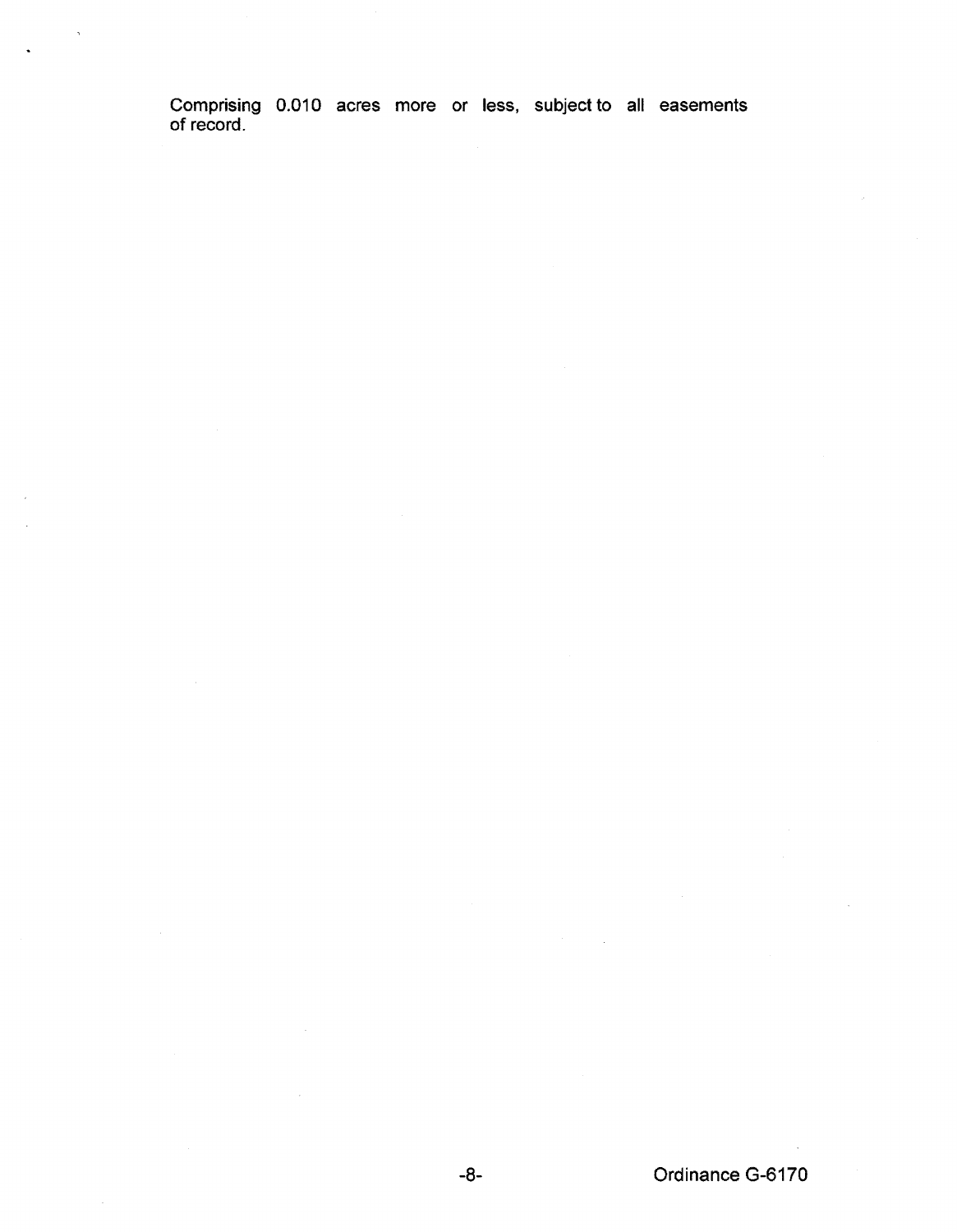Comprising 0.010 acres more or less, subject to all easements of record.